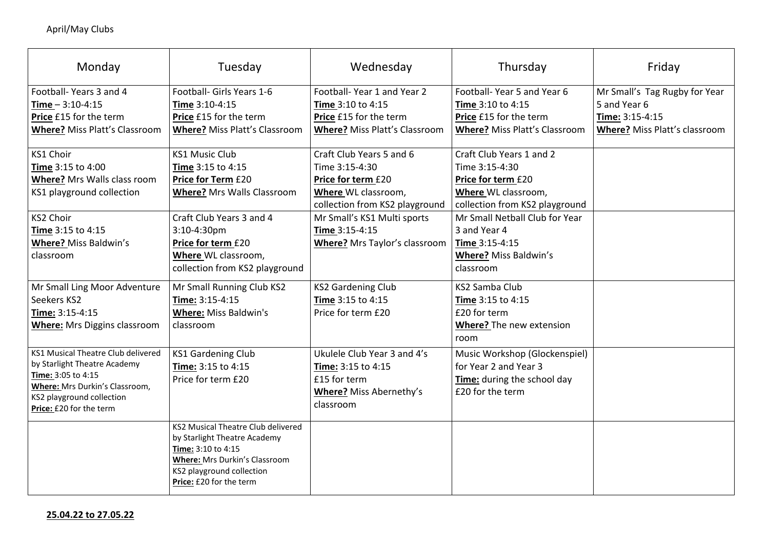|         | Friday                                                                                            |  |  |  |  |  |
|---------|---------------------------------------------------------------------------------------------------|--|--|--|--|--|
| ገ       | Mr Small's Tag Rugby for Year<br>5 and Year 6<br>Time: 3:15-4:15<br>Where? Miss Platt's classroom |  |  |  |  |  |
|         |                                                                                                   |  |  |  |  |  |
| d       |                                                                                                   |  |  |  |  |  |
|         |                                                                                                   |  |  |  |  |  |
| $\vert$ |                                                                                                   |  |  |  |  |  |
|         |                                                                                                   |  |  |  |  |  |

| Monday                                                                                                                                                                                    | Tuesday                                                                                                                                                                                         | Wednesday                                                                                                                               | Thursday                                                                                                                  | Friday                                                                              |
|-------------------------------------------------------------------------------------------------------------------------------------------------------------------------------------------|-------------------------------------------------------------------------------------------------------------------------------------------------------------------------------------------------|-----------------------------------------------------------------------------------------------------------------------------------------|---------------------------------------------------------------------------------------------------------------------------|-------------------------------------------------------------------------------------|
| Football-Years 3 and 4<br>$Time - 3:10-4:15$<br><b>Price £15 for the term</b><br><b>Where?</b> Miss Platt's Classroom                                                                     | Football- Girls Years 1-6<br><b>Time 3:10-4:15</b><br><b>Price £15 for the term</b><br><b>Where? Miss Platt's Classroom</b>                                                                     | Football-Year 1 and Year 2<br><b>Time 3:10 to 4:15</b><br><b>Price £15 for the term</b><br><b>Where?</b> Miss Platt's Classroom         | Football-Year 5 and Year 6<br><b>Time 3:10 to 4:15</b><br>Price £15 for the term<br><b>Where? Miss Platt's Classroom</b>  | Mr Small's Tag Rug<br>5 and Year 6<br>Time: 3:15-4:15<br><b>Where? Miss Platt's</b> |
| <b>KS1 Choir</b><br><b>Time 3:15 to 4:00</b><br><b>Where?</b> Mrs Walls class room<br>KS1 playground collection                                                                           | <b>KS1 Music Club</b><br><b>Time 3:15 to 4:15</b><br><b>Price for Term £20</b><br><b>Where?</b> Mrs Walls Classroom                                                                             | Craft Club Years 5 and 6<br>Time 3:15-4:30<br><b>Price for term £20</b><br><b>Where WL classroom,</b><br>collection from KS2 playground | Craft Club Years 1 and 2<br>Time 3:15-4:30<br>Price for term £20<br>Where WL classroom,<br>collection from KS2 playground |                                                                                     |
| <b>KS2 Choir</b><br><b>Time 3:15 to 4:15</b><br><b>Where? Miss Baldwin's</b><br>classroom                                                                                                 | Craft Club Years 3 and 4<br>$3:10-4:30$ pm<br><b>Price for term £20</b><br><b>Where</b> WL classroom,<br>collection from KS2 playground                                                         | Mr Small's KS1 Multi sports<br>Time 3:15-4:15<br><b>Where?</b> Mrs Taylor's classroom                                                   | Mr Small Netball Club for Year<br>3 and Year 4<br><b>Time 3:15-4:15</b><br><b>Where? Miss Baldwin's</b><br>classroom      |                                                                                     |
| Mr Small Ling Moor Adventure<br>Seekers KS2<br>Time: 3:15-4:15<br><b>Where:</b> Mrs Diggins classroom                                                                                     | Mr Small Running Club KS2<br>Time: 3:15-4:15<br><b>Where: Miss Baldwin's</b><br>classroom                                                                                                       | <b>KS2 Gardening Club</b><br>Time 3:15 to 4:15<br>Price for term £20                                                                    | KS2 Samba Club<br><b>Time</b> 3:15 to 4:15<br>£20 for term<br><b>Where?</b> The new extension<br>room                     |                                                                                     |
| <b>KS1 Musical Theatre Club delivered</b><br>by Starlight Theatre Academy<br>Time: 3:05 to 4:15<br>Where: Mrs Durkin's Classroom,<br>KS2 playground collection<br>Price: £20 for the term | <b>KS1 Gardening Club</b><br><b>Time: 3:15 to 4:15</b><br>Price for term £20                                                                                                                    | Ukulele Club Year 3 and 4's<br>Time: 3:15 to 4:15<br>£15 for term<br><b>Where?</b> Miss Abernethy's<br>classroom                        | Music Workshop (Glockenspiel)<br>for Year 2 and Year 3<br><b>Time:</b> during the school day<br>£20 for the term          |                                                                                     |
|                                                                                                                                                                                           | KS2 Musical Theatre Club delivered<br>by Starlight Theatre Academy<br><b>Time: 3:10 to 4:15</b><br><b>Where: Mrs Durkin's Classroom</b><br>KS2 playground collection<br>Price: £20 for the term |                                                                                                                                         |                                                                                                                           |                                                                                     |